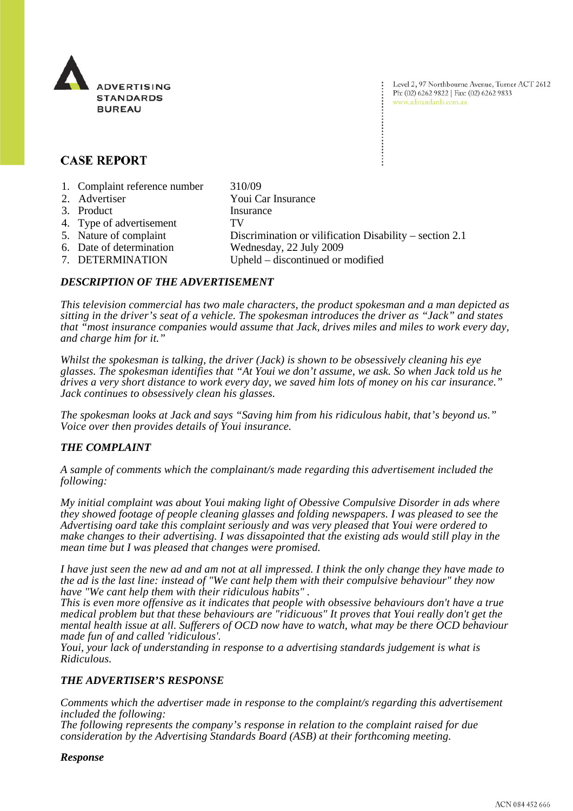

Level 2, 97 Northbourne Avenue, Turner ACT 2612 Ph: (02) 6262 9822 | Fax: (02) 6262 9833 www.adstandards.com.au

# **CASE REPORT**

1. Complaint reference number 310/09 2. Advertiser Youi Car Insurance 3. Product Insurance 4. Type of advertisement TV 5. Nature of complaint Discrimination or vilification Disability – section 2.1 6. Date of determination Wednesday, 22 July 2009 7. DETERMINATION Upheld – discontinued or modified

# *DESCRIPTION OF THE ADVERTISEMENT*

*This television commercial has two male characters, the product spokesman and a man depicted as sitting in the driver's seat of a vehicle. The spokesman introduces the driver as "Jack" and states that "most insurance companies would assume that Jack, drives miles and miles to work every day, and charge him for it."*

*Whilst the spokesman is talking, the driver (Jack) is shown to be obsessively cleaning his eye glasses. The spokesman identifies that "At Youi we don't assume, we ask. So when Jack told us he drives a very short distance to work every day, we saved him lots of money on his car insurance." Jack continues to obsessively clean his glasses.*

*The spokesman looks at Jack and says "Saving him from his ridiculous habit, that's beyond us." Voice over then provides details of Youi insurance.*

# *THE COMPLAINT*

*A sample of comments which the complainant/s made regarding this advertisement included the following:* 

*My initial complaint was about Youi making light of Obessive Compulsive Disorder in ads where they showed footage of people cleaning glasses and folding newspapers. I was pleased to see the Advertising oard take this complaint seriously and was very pleased that Youi were ordered to make changes to their advertising. I was dissapointed that the existing ads would still play in the mean time but I was pleased that changes were promised.*

*I have just seen the new ad and am not at all impressed. I think the only change they have made to the ad is the last line: instead of "We cant help them with their compulsive behaviour" they now have "We cant help them with their ridiculous habits" .*

*This is even more offensive as it indicates that people with obsessive behaviours don't have a true medical problem but that these behaviours are "ridicuous" It proves that Youi really don't get the mental health issue at all. Sufferers of OCD now have to watch, what may be there OCD behaviour made fun of and called 'ridiculous'.*

*Youi, your lack of understanding in response to a advertising standards judgement is what is Ridiculous.*

#### *THE ADVERTISER'S RESPONSE*

*Comments which the advertiser made in response to the complaint/s regarding this advertisement included the following:* 

*The following represents the company's response in relation to the complaint raised for due consideration by the Advertising Standards Board (ASB) at their forthcoming meeting.*

#### *Response*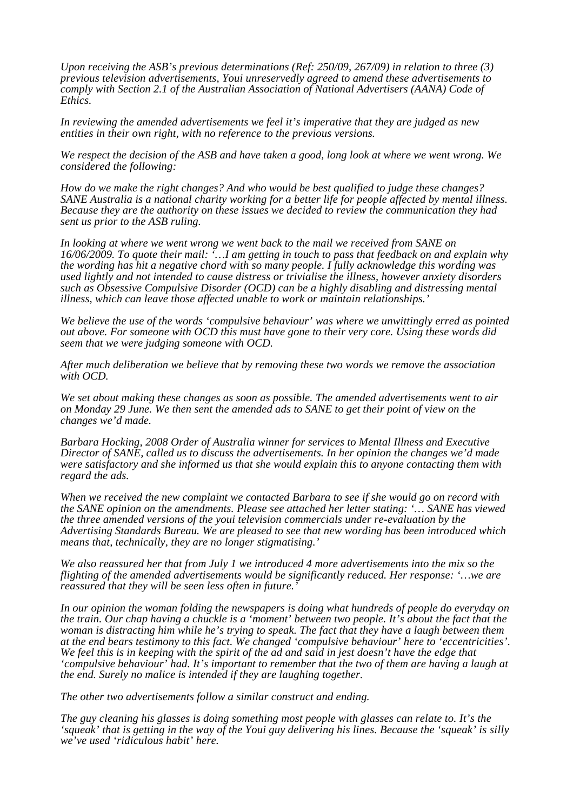*Upon receiving the ASB's previous determinations (Ref: 250/09, 267/09) in relation to three (3) previous television advertisements, Youi unreservedly agreed to amend these advertisements to comply with Section 2.1 of the Australian Association of National Advertisers (AANA) Code of Ethics.*

*In reviewing the amended advertisements we feel it's imperative that they are judged as new entities in their own right, with no reference to the previous versions.*

*We respect the decision of the ASB and have taken a good, long look at where we went wrong. We considered the following:*

*How do we make the right changes? And who would be best qualified to judge these changes? SANE Australia is a national charity working for a better life for people affected by mental illness. Because they are the authority on these issues we decided to review the communication they had sent us prior to the ASB ruling.*

*In looking at where we went wrong we went back to the mail we received from SANE on 16/06/2009. To quote their mail: '…I am getting in touch to pass that feedback on and explain why the wording has hit a negative chord with so many people. I fully acknowledge this wording was used lightly and not intended to cause distress or trivialise the illness, however anxiety disorders such as Obsessive Compulsive Disorder (OCD) can be a highly disabling and distressing mental illness, which can leave those affected unable to work or maintain relationships.'*

*We believe the use of the words 'compulsive behaviour' was where we unwittingly erred as pointed out above. For someone with OCD this must have gone to their very core. Using these words did seem that we were judging someone with OCD.*

*After much deliberation we believe that by removing these two words we remove the association with OCD.*

*We set about making these changes as soon as possible. The amended advertisements went to air on Monday 29 June. We then sent the amended ads to SANE to get their point of view on the changes we'd made.* 

*Barbara Hocking, 2008 Order of Australia winner for services to Mental Illness and Executive Director of SANE, called us to discuss the advertisements. In her opinion the changes we'd made were satisfactory and she informed us that she would explain this to anyone contacting them with regard the ads.*

*When we received the new complaint we contacted Barbara to see if she would go on record with the SANE opinion on the amendments. Please see attached her letter stating: '… SANE has viewed the three amended versions of the youi television commercials under re-evaluation by the Advertising Standards Bureau. We are pleased to see that new wording has been introduced which means that, technically, they are no longer stigmatising.'*

*We also reassured her that from July 1 we introduced 4 more advertisements into the mix so the flighting of the amended advertisements would be significantly reduced. Her response: '…we are reassured that they will be seen less often in future.'*

*In our opinion the woman folding the newspapers is doing what hundreds of people do everyday on the train. Our chap having a chuckle is a 'moment' between two people. It's about the fact that the woman is distracting him while he's trying to speak. The fact that they have a laugh between them*  We feel this is in keeping with the spirit of the ad and said in jest doesn't have the edge that *'compulsive behaviour' had. It's important to remember that the two of them are having a laugh at the end. Surely no malice is intended if they are laughing together.*

*The other two advertisements follow a similar construct and ending.*

*The guy cleaning his glasses is doing something most people with glasses can relate to. It's the 'squeak' that is getting in the way of the Youi guy delivering his lines. Because the 'squeak' is silly we've used 'ridiculous habit' here.*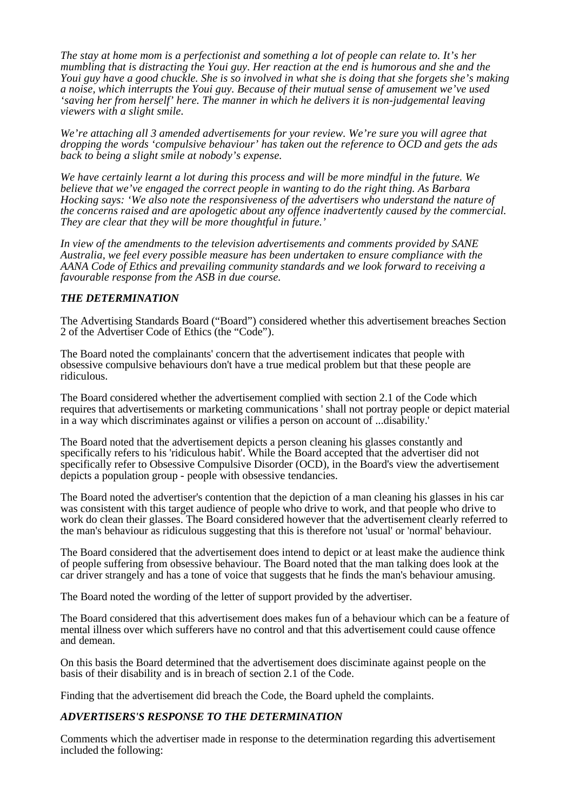*The stay at home mom is a perfectionist and something a lot of people can relate to. It's her mumbling that is distracting the Youi guy. Her reaction at the end is humorous and she and the Youi guy have a good chuckle. She is so involved in what she is doing that she forgets she's making a noise, which interrupts the Youi guy. Because of their mutual sense of amusement we've used 'saving her from herself' here. The manner in which he delivers it is non-judgemental leaving viewers with a slight smile.*

*We're attaching all 3 amended advertisements for your review. We're sure you will agree that dropping the words 'compulsive behaviour' has taken out the reference to OCD and gets the ads back to being a slight smile at nobody's expense.*

*We have certainly learnt a lot during this process and will be more mindful in the future. We believe that we've engaged the correct people in wanting to do the right thing. As Barbara Hocking says: 'We also note the responsiveness of the advertisers who understand the nature of the concerns raised and are apologetic about any offence inadvertently caused by the commercial. They are clear that they will be more thoughtful in future.'*

*In view of the amendments to the television advertisements and comments provided by SANE Australia, we feel every possible measure has been undertaken to ensure compliance with the AANA Code of Ethics and prevailing community standards and we look forward to receiving a favourable response from the ASB in due course.* 

# *THE DETERMINATION*

The Advertising Standards Board ("Board") considered whether this advertisement breaches Section 2 of the Advertiser Code of Ethics (the "Code").

The Board noted the complainants' concern that the advertisement indicates that people with obsessive compulsive behaviours don't have a true medical problem but that these people are ridiculous.

The Board considered whether the advertisement complied with section 2.1 of the Code which requires that advertisements or marketing communications ' shall not portray people or depict material in a way which discriminates against or vilifies a person on account of ...disability.'

The Board noted that the advertisement depicts a person cleaning his glasses constantly and specifically refers to his 'ridiculous habit'. While the Board accepted that the advertiser did not specifically refer to Obsessive Compulsive Disorder (OCD), in the Board's view the advertisement depicts a population group - people with obsessive tendancies.

The Board noted the advertiser's contention that the depiction of a man cleaning his glasses in his car was consistent with this target audience of people who drive to work, and that people who drive to work do clean their glasses. The Board considered however that the advertisement clearly referred to the man's behaviour as ridiculous suggesting that this is therefore not 'usual' or 'normal' behaviour.

The Board considered that the advertisement does intend to depict or at least make the audience think of people suffering from obsessive behaviour. The Board noted that the man talking does look at the car driver strangely and has a tone of voice that suggests that he finds the man's behaviour amusing.

The Board noted the wording of the letter of support provided by the advertiser.

The Board considered that this advertisement does makes fun of a behaviour which can be a feature of mental illness over which sufferers have no control and that this advertisement could cause offence and demean.

On this basis the Board determined that the advertisement does disciminate against people on the basis of their disability and is in breach of section 2.1 of the Code.

Finding that the advertisement did breach the Code, the Board upheld the complaints.

# *ADVERTISERS'S RESPONSE TO THE DETERMINATION*

Comments which the advertiser made in response to the determination regarding this advertisement included the following: